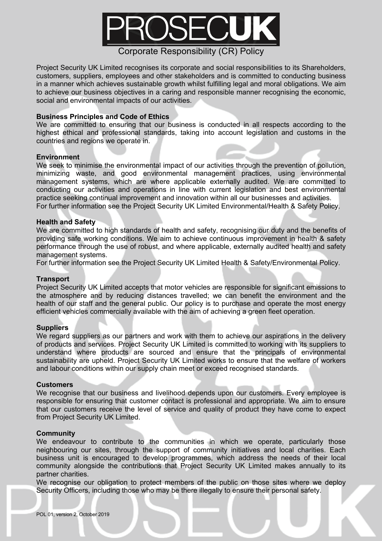

Project Security UK Limited recognises its corporate and social responsibilities to its Shareholders, customers, suppliers, employees and other stakeholders and is committed to conducting business in a manner which achieves sustainable growth whilst fulfilling legal and moral obligations. We aim to achieve our business objectives in a caring and responsible manner recognising the economic, social and environmental impacts of our activities.

## **Business Principles and Code of Ethics**

We are committed to ensuring that our business is conducted in all respects according to the highest ethical and professional standards, taking into account legislation and customs in the countries and regions we operate in.

### **Environment**

We seek to minimise the environmental impact of our activities through the prevention of pollution, minimizing waste, and good environmental management practices, using environmental management systems, which are where applicable externally audited. We are committed to conducting our activities and operations in line with current legislation and best environmental practice seeking continual improvement and innovation within all our businesses and activities. For further information see the Project Security UK Limited Environmental/Health & Safety Policy.

### **Health and Safety**

We are committed to high standards of health and safety, recognising our duty and the benefits of providing safe working conditions. We aim to achieve continuous improvement in health & safety performance through the use of robust, and where applicable, externally audited health and safety management systems.

For further information see the Project Security UK Limited Health & Safety/Environmental Policy.

### **Transport**

Project Security UK Limited accepts that motor vehicles are responsible for significant emissions to the atmosphere and by reducing distances travelled; we can benefit the environment and the health of our staff and the general public. Our policy is to purchase and operate the most energy efficient vehicles commercially available with the aim of achieving a green fleet operation.

### **Suppliers**

We regard suppliers as our partners and work with them to achieve our aspirations in the delivery of products and services. Project Security UK Limited is committed to working with its suppliers to understand where products are sourced and ensure that the principals of environmental sustainability are upheld. Project Security UK Limited works to ensure that the welfare of workers and labour conditions within our supply chain meet or exceed recognised standards.

### **Customers**

We recognise that our business and livelihood depends upon our customers. Every employee is responsible for ensuring that customer contact is professional and appropriate. We aim to ensure that our customers receive the level of service and quality of product they have come to expect from Project Security UK Limited.

## **Community**

We endeavour to contribute to the communities in which we operate, particularly those neighbouring our sites, through the support of community initiatives and local charities. Each business unit is encouraged to develop programmes, which address the needs of their local community alongside the contributions that Project Security UK Limited makes annually to its partner charities.

We recognise our obligation to protect members of the public on those sites where we deploy Security Officers, including those who may be there illegally to ensure their personal safety.